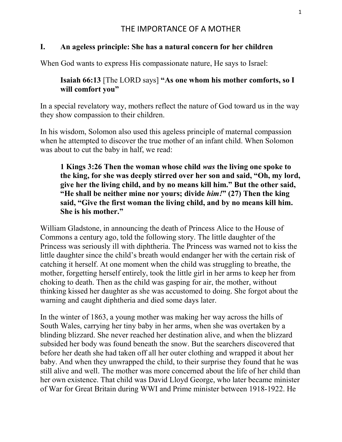## I. An ageless principle: She has a natural concern for her children

When God wants to express His compassionate nature, He says to Israel:

# Isaiah 66:13 [The LORD says] "As one whom his mother comforts, so I will comfort you"

In a special revelatory way, mothers reflect the nature of God toward us in the way they show compassion to their children.

In his wisdom, Solomon also used this ageless principle of maternal compassion when he attempted to discover the true mother of an infant child. When Solomon was about to cut the baby in half, we read:

1 Kings 3:26 Then the woman whose child was the living one spoke to the king, for she was deeply stirred over her son and said, "Oh, my lord, give her the living child, and by no means kill him." But the other said, "He shall be neither mine nor yours; divide  $him!$ " (27) Then the king said, "Give the first woman the living child, and by no means kill him. She is his mother."

William Gladstone, in announcing the death of Princess Alice to the House of Commons a century ago, told the following story. The little daughter of the Princess was seriously ill with diphtheria. The Princess was warned not to kiss the little daughter since the child's breath would endanger her with the certain risk of catching it herself. At one moment when the child was struggling to breathe, the mother, forgetting herself entirely, took the little girl in her arms to keep her from choking to death. Then as the child was gasping for air, the mother, without thinking kissed her daughter as she was accustomed to doing. She forgot about the warning and caught diphtheria and died some days later.

In the winter of 1863, a young mother was making her way across the hills of South Wales, carrying her tiny baby in her arms, when she was overtaken by a blinding blizzard. She never reached her destination alive, and when the blizzard subsided her body was found beneath the snow. But the searchers discovered that before her death she had taken off all her outer clothing and wrapped it about her baby. And when they unwrapped the child, to their surprise they found that he was still alive and well. The mother was more concerned about the life of her child than her own existence. That child was David Lloyd George, who later became minister of War for Great Britain during WWI and Prime minister between 1918-1922. He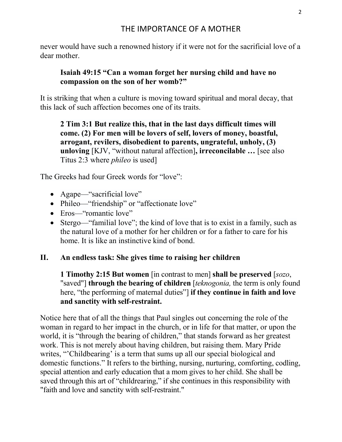never would have such a renowned history if it were not for the sacrificial love of a dear mother.

## Isaiah 49:15 "Can a woman forget her nursing child and have no compassion on the son of her womb?"

It is striking that when a culture is moving toward spiritual and moral decay, that this lack of such affection becomes one of its traits.

2 Tim 3:1 But realize this, that in the last days difficult times will come. (2) For men will be lovers of self, lovers of money, boastful, arrogant, revilers, disobedient to parents, ungrateful, unholy, (3) unloving [KJV, "without natural affection], irreconcilable … [see also Titus 2:3 where *phileo* is used]

The Greeks had four Greek words for "love":

- Agape—"sacrificial love"
- Phileo—"friendship" or "affectionate love"
- Eros—"romantic love"
- Stergo—"familial love"; the kind of love that is to exist in a family, such as the natural love of a mother for her children or for a father to care for his home. It is like an instinctive kind of bond.

## II. An endless task: She gives time to raising her children

1 Timothy 2:15 But women [in contrast to men] shall be preserved [sozo, "saved"] **through the bearing of children** [teknogonia, the term is only found here, "the performing of maternal duties"] if they continue in faith and love and sanctity with self-restraint.

Notice here that of all the things that Paul singles out concerning the role of the woman in regard to her impact in the church, or in life for that matter, or upon the world, it is "through the bearing of children," that stands forward as her greatest work. This is not merely about having children, but raising them. Mary Pride writes, "Childbearing' is a term that sums up all our special biological and domestic functions." It refers to the birthing, nursing, nurturing, comforting, codling, special attention and early education that a mom gives to her child. She shall be saved through this art of "childrearing," if she continues in this responsibility with "faith and love and sanctity with self-restraint."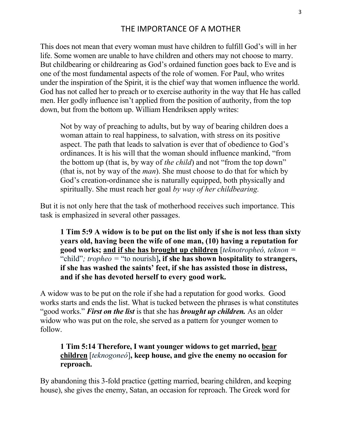This does not mean that every woman must have children to fulfill God's will in her life. Some women are unable to have children and others may not choose to marry. But childbearing or childrearing as God's ordained function goes back to Eve and is one of the most fundamental aspects of the role of women. For Paul, who writes under the inspiration of the Spirit, it is the chief way that women influence the world. God has not called her to preach or to exercise authority in the way that He has called men. Her godly influence isn't applied from the position of authority, from the top down, but from the bottom up. William Hendriksen apply writes:

Not by way of preaching to adults, but by way of bearing children does a woman attain to real happiness, to salvation, with stress on its positive aspect. The path that leads to salvation is ever that of obedience to God's ordinances. It is his will that the woman should influence mankind, "from the bottom up (that is, by way of *the child*) and not "from the top down" (that is, not by way of the man). She must choose to do that for which by God's creation-ordinance she is naturally equipped, both physically and spiritually. She must reach her goal by way of her childbearing.

But it is not only here that the task of motherhood receives such importance. This task is emphasized in several other passages.

1 Tim 5:9 A widow is to be put on the list only if she is not less than sixty years old, having been the wife of one man, (10) having a reputation for good works; and if she has brought up children [teknotropheó, teknon  $=$ "child"; tropheo = "to nourish], if she has shown hospitality to strangers, if she has washed the saints' feet, if she has assisted those in distress, and if she has devoted herself to every good work.

A widow was to be put on the role if she had a reputation for good works. Good works starts and ends the list. What is tucked between the phrases is what constitutes "good works." First on the list is that she has brought up children. As an older widow who was put on the role, she served as a pattern for younger women to follow.

### 1 Tim 5:14 Therefore, I want younger widows to get married, bear children [teknogoneó], keep house, and give the enemy no occasion for reproach.

By abandoning this 3-fold practice (getting married, bearing children, and keeping house), she gives the enemy, Satan, an occasion for reproach. The Greek word for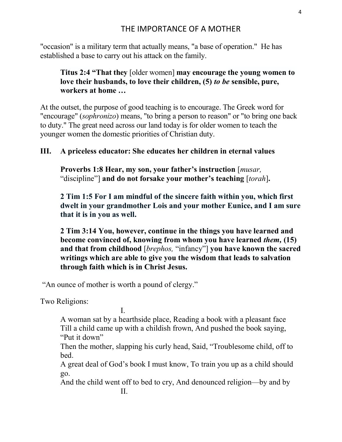"occasion" is a military term that actually means, "a base of operation." He has established a base to carry out his attack on the family.

## Titus 2:4 "That they [older women] may encourage the young women to love their husbands, to love their children, (5) to be sensible, pure, workers at home …

At the outset, the purpose of good teaching is to encourage. The Greek word for "encourage" (sophronizo) means, "to bring a person to reason" or "to bring one back to duty." The great need across our land today is for older women to teach the younger women the domestic priorities of Christian duty.

#### III. A priceless educator: She educates her children in eternal values

Proverbs 1:8 Hear, my son, your father's instruction [*musar*, "discipline"] and do not forsake your mother's teaching [torah].

2 Tim 1:5 For I am mindful of the sincere faith within you, which first dwelt in your grandmother Lois and your mother Eunice, and I am sure that it is in you as well.

2 Tim 3:14 You, however, continue in the things you have learned and become convinced of, knowing from whom you have learned them, (15) and that from childhood [brephos, "infancy"] you have known the sacred writings which are able to give you the wisdom that leads to salvation through faith which is in Christ Jesus.

"An ounce of mother is worth a pound of clergy."

Two Religions:

**I. I. I.** 

A woman sat by a hearthside place, Reading a book with a pleasant face Till a child came up with a childish frown, And pushed the book saying, "Put it down"

Then the mother, slapping his curly head, Said, "Troublesome child, off to bed.

A great deal of God's book I must know, To train you up as a child should go.

And the child went off to bed to cry, And denounced religion—by and by II.